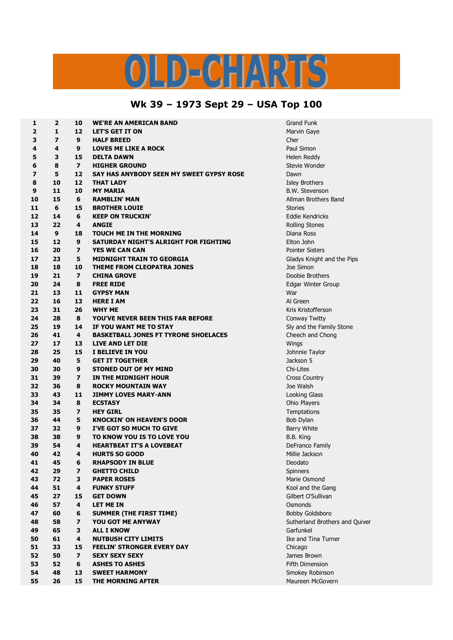## CHAR DE

## **Wk 39 – 1973 Sept 29 – USA Top 100**

| 1                       | $\mathbf{2}$            | 10                      | <b>WE'RE AN AMERICAN BAND</b>               | <b>Grand Funl</b>   |
|-------------------------|-------------------------|-------------------------|---------------------------------------------|---------------------|
| $\overline{2}$          | 1                       | 12                      | <b>LET'S GET IT ON</b>                      | Marvin Gay          |
| 3                       | $\overline{\mathbf{z}}$ | 9                       | <b>HALF BREED</b>                           | Cher                |
| 4                       | $\overline{\mathbf{4}}$ | 9                       | <b>LOVES ME LIKE A ROCK</b>                 | Paul Simon          |
| 5                       | 3                       | 15                      | <b>DELTA DAWN</b>                           | Helen Redo          |
| 6                       | 8                       | $\overline{ }$          | <b>HIGHER GROUND</b>                        | Stevie Wor          |
| $\overline{\mathbf{z}}$ | 5                       | 12                      | SAY HAS ANYBODY SEEN MY SWEET GYPSY ROSE    | Dawn                |
| 8                       | 10                      | 12                      | <b>THAT LADY</b>                            | <b>Isley Broth</b>  |
| 9                       | 11                      | 10                      | <b>MY MARIA</b>                             | <b>B.W. Steve</b>   |
| 10                      | 15                      | 6                       | <b>RAMBLIN' MAN</b>                         | Allman Bro          |
| 11                      | 6                       | 15                      | <b>BROTHER LOUIE</b>                        | <b>Stories</b>      |
| 12                      | 14                      | 6                       | <b>KEEP ON TRUCKIN'</b>                     | Eddie Kend          |
| 13                      | 22                      | 4                       | <b>ANGIE</b>                                | <b>Rolling Sto</b>  |
| 14                      | 9                       | 18                      | <b>TOUCH ME IN THE MORNING</b>              | Diana Ross          |
| 15                      | 12                      | 9                       | SATURDAY NIGHT'S ALRIGHT FOR FIGHTING       | Elton John          |
| 16                      | 20                      | $\overline{ }$          | <b>YES WE CAN CAN</b>                       | Pointer Sist        |
| 17                      | 23                      | 5                       | <b>MIDNIGHT TRAIN TO GEORGIA</b>            | Gladys Knig         |
| 18                      | 18                      | 10                      | <b>THEME FROM CLEOPATRA JONES</b>           | Joe Simon           |
| 19                      | 21                      | $\overline{7}$          | <b>CHINA GROVE</b>                          | Doobie Bro          |
| 20                      | 24                      | 8                       | <b>FREE RIDE</b>                            | Edgar Wint          |
| 21                      | 13                      | 11                      | <b>GYPSY MAN</b>                            | War                 |
| 22                      | 16                      | 13                      | <b>HERE I AM</b>                            | Al Green            |
| 23                      | 31                      | 26                      | <b>WHY ME</b>                               | <b>Kris Kristof</b> |
| 24                      | 28                      | 8                       | YOU'VE NEVER BEEN THIS FAR BEFORE           | Conway Tv           |
| 25                      | 19                      | 14                      | IF YOU WANT ME TO STAY                      | Sly and the         |
| 26                      | 41                      | 4                       | <b>BASKETBALL JONES FT TYRONE SHOELACES</b> | Cheech and          |
| 27                      | 17                      | 13                      | LIVE AND LET DIE                            | Wings               |
| 28                      | 25                      | 15                      | <b>I BELIEVE IN YOU</b>                     | Johnnie Ta          |
| 29                      | 40                      | 5                       | <b>GET IT TOGETHER</b>                      | Jackson 5           |
| 30                      | 30                      | 9                       | <b>STONED OUT OF MY MIND</b>                | Chi-Lites           |
| 31                      | 39                      | $\overline{ }$          | IN THE MIDNIGHT HOUR                        | <b>Cross Cour</b>   |
| 32                      | 36                      | 8                       | <b>ROCKY MOUNTAIN WAY</b>                   | Joe Walsh           |
| 33                      | 43                      | 11                      | <b>JIMMY LOVES MARY-ANN</b>                 | Looking Gla         |
| 34                      | 34                      | 8                       | <b>ECSTASY</b>                              | Ohio Playe          |
| 35                      | 35                      | $\overline{ }$          | <b>HEY GIRL</b>                             | Temptation          |
| 36                      | 44                      | 5                       | <b>KNOCKIN' ON HEAVEN'S DOOR</b>            | Bob Dylan           |
| 37                      | 32                      | 9                       | <b>I'VE GOT SO MUCH TO GIVE</b>             | Barry Whit          |
| 38                      | 38                      | 9                       | TO KNOW YOU IS TO LOVE YOU                  | B.B. King           |
| 39                      | 54                      | 4                       | <b>HEARTBEAT IT'S A LOVEBEAT</b>            | DeFranco F          |
| 40                      | 42                      | 4                       | <b>HURTS SO GOOD</b>                        | Millie Jacks        |
| 41                      | 45                      | 6                       | <b>RHAPSODY IN BLUE</b>                     | Deodato             |
| 42                      | 29                      | $\overline{ }$          | <b>GHETTO CHILD</b>                         | Spinners            |
| 43                      | 72                      | 3                       | <b>PAPER ROSES</b>                          | Marie Osm           |
| 44                      | 51                      | 4                       | <b>FUNKY STUFF</b>                          | Kool and th         |
| 45                      | 27                      | 15                      | <b>GET DOWN</b>                             | Gilbert O'S         |
| 46                      | 57                      | 4                       | <b>LET ME IN</b>                            | Osmonds             |
| 47                      | 60                      | 6                       | <b>SUMMER (THE FIRST TIME)</b>              | <b>Bobby Gold</b>   |
| 48                      | 58                      | $\overline{\mathbf{z}}$ | YOU GOT ME ANYWAY                           | Sutherland          |
| 49                      | 65                      | 3                       | <b>ALL I KNOW</b>                           | Garfunkel           |
| 50                      | 61                      | 4                       | <b>NUTBUSH CITY LIMITS</b>                  | Ike and Tir         |
| 51                      | 33                      | 15                      | <b>FEELIN' STRONGER EVERY DAY</b>           | Chicago             |
| 52                      | 50                      | $\overline{ }$          | <b>SEXY SEXY SEXY</b>                       | James Brow          |
| 53                      | 52                      | 6                       | <b>ASHES TO ASHES</b>                       | <b>Fifth Dimer</b>  |
| 54                      | 48                      | 13                      | <b>SWEET HARMONY</b>                        | Smokey Ro           |
| 55                      | 26                      | 15                      | THE MORNING AFTER                           | Maureen M           |
|                         |                         |                         |                                             |                     |

 Grand Funk **Marvin Gaye Paul Simon Helen Reddy Stevie Wonder 10 12 THAT LADY** Isley Brothers **B.W. Stevenson 15 6 RAMBLIN' MAN** Allman Brothers Band **14 6 KEEP ON TRUCKIN'** Eddie Kendricks **22 4 ANGIE** Rolling Stones **20 7 YES WE CAN CAN** Pointer Sisters **Gladys Knight and the Pips Doobie Brothers Edgar Winter Group 31 26 WHY ME** Kris Kristofferson **28 8 YOU'VE NEVER BEEN THIS FAR BEFORE** Conway Twitty **19 14 IF YOU WANT ME TO STAY** Sly and the Family Stone **Cheech and Chong 25 15 I BELIEVE IN YOU** Johnnie Taylor  $Cross Country$  **36 8 ROCKY MOUNTAIN WAY** Joe Walsh **Looking Glass**  Ohio Players **35 7 HEY GIRL** Temptations **Bob Dylan Barry White DeFranco Family Millie Jackson Marie Osmond Kool and the Gang 27 15 GET DOWN** Gilbert O'Sullivan **Bobby Goldsboro Sutherland Brothers and Quiver Ike and Tina Turner James Brown 52 6 ASHES TO ASHES** Fifth Dimension **Smokey Robinson 26 15 THE MORNING AFTER** Maureen McGovern